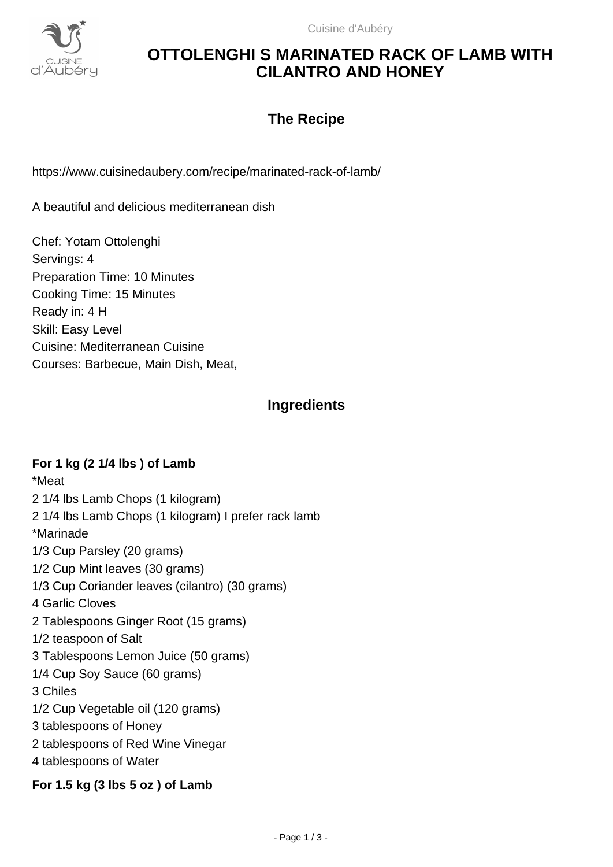

# **OTTOLENGHI S MARINATED RACK OF LAMB WITH CILANTRO AND HONEY**

## **The Recipe**

https://www.cuisinedaubery.com/recipe/marinated-rack-of-lamb/

A beautiful and delicious mediterranean dish

Chef: Yotam Ottolenghi Servings: 4 Preparation Time: 10 Minutes Cooking Time: 15 Minutes Ready in: 4 H Skill: Easy Level Cuisine: Mediterranean Cuisine Courses: Barbecue, Main Dish, Meat,

## **Ingredients**

### **For 1 kg (2 1/4 lbs ) of Lamb**

\*Meat 2 1/4 lbs Lamb Chops (1 kilogram) 2 1/4 lbs Lamb Chops (1 kilogram) I prefer rack lamb \*Marinade 1/3 Cup Parsley (20 grams) 1/2 Cup Mint leaves (30 grams) 1/3 Cup Coriander leaves (cilantro) (30 grams) 4 Garlic Cloves 2 Tablespoons Ginger Root (15 grams) 1/2 teaspoon of Salt 3 Tablespoons Lemon Juice (50 grams) 1/4 Cup Soy Sauce (60 grams) 3 Chiles 1/2 Cup Vegetable oil (120 grams) 3 tablespoons of Honey 2 tablespoons of Red Wine Vinegar 4 tablespoons of Water

### **For 1.5 kg (3 lbs 5 oz ) of Lamb**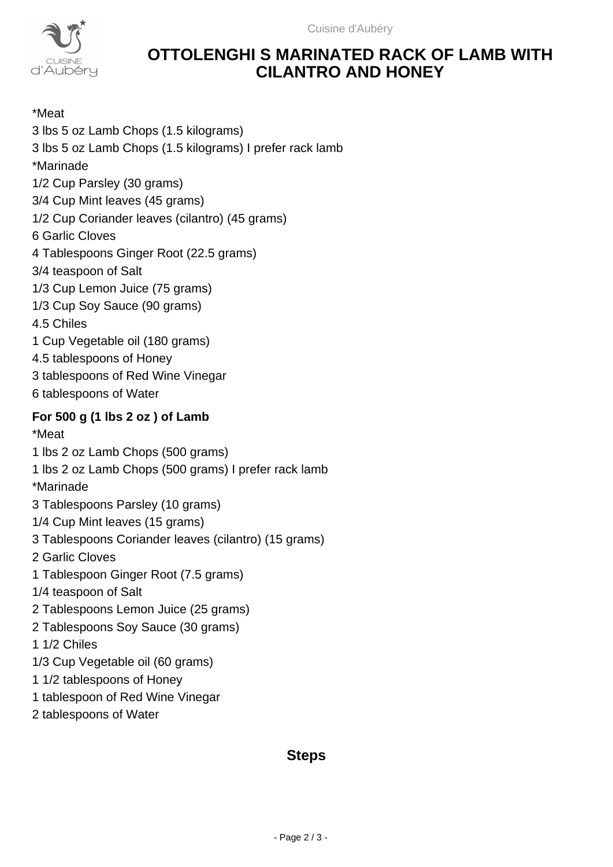

## **OTTOLENGHI S MARINATED RACK OF LAMB WITH CILANTRO AND HONEY**

\*Meat 3 lbs 5 oz Lamb Chops (1.5 kilograms) 3 lbs 5 oz Lamb Chops (1.5 kilograms) I prefer rack lamb \*Marinade 1/2 Cup Parsley (30 grams) 3/4 Cup Mint leaves (45 grams) 1/2 Cup Coriander leaves (cilantro) (45 grams) 6 Garlic Cloves 4 Tablespoons Ginger Root (22.5 grams) 3/4 teaspoon of Salt 1/3 Cup Lemon Juice (75 grams) 1/3 Cup Soy Sauce (90 grams) 4.5 Chiles 1 Cup Vegetable oil (180 grams) 4.5 tablespoons of Honey 3 tablespoons of Red Wine Vinegar 6 tablespoons of Water **For 500 g (1 lbs 2 oz ) of Lamb** \*Meat 1 lbs 2 oz Lamb Chops (500 grams) 1 lbs 2 oz Lamb Chops (500 grams) I prefer rack lamb \*Marinade 3 Tablespoons Parsley (10 grams) 1/4 Cup Mint leaves (15 grams) 3 Tablespoons Coriander leaves (cilantro) (15 grams) 2 Garlic Cloves 1 Tablespoon Ginger Root (7.5 grams) 1/4 teaspoon of Salt 2 Tablespoons Lemon Juice (25 grams) 2 Tablespoons Soy Sauce (30 grams) 1 1/2 Chiles 1/3 Cup Vegetable oil (60 grams) 1 1/2 tablespoons of Honey 1 tablespoon of Red Wine Vinegar 2 tablespoons of Water

## **Steps**